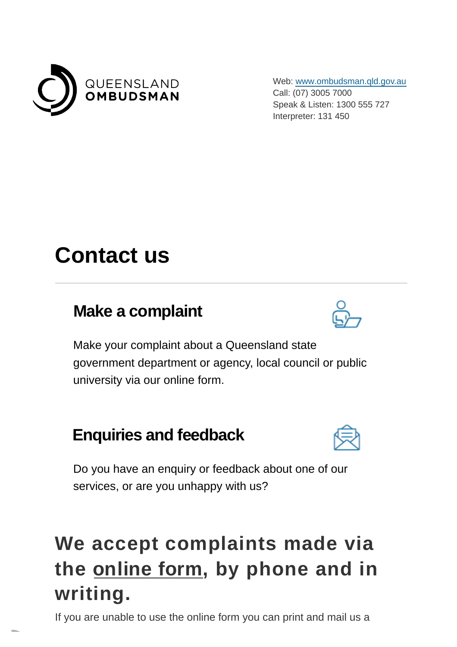

Web: [www.ombudsman.qld.gov.au](https://www.ombudsman.qld.gov.au/) Call: (07) 3005 7000 Speak & Listen: 1300 555 727 Interpreter: 131 450

# **Contact us**

#### **Make a complaint**



Make your complaint about a Queensland state [government department or agency, local council or public](https://www.ombudsman.qld.gov.au/make-a-complaint/makecomplaint) university via our online form.

#### **Enquiries and feedback**



[Do you have an enquiry or feedback about one of our](https://www.ombudsman.qld.gov.au/about-us/contact-us/enquiries-and-feedback/enquiries-and-feedback) services, or are you unhappy with us?

## **We accept complaints made via the [online form,](https://www.ombudsman.qld.gov.au/make-a-complaint/makecomplaint) by phone and in writing.**

If you are unable to use the online form you can print and mail us a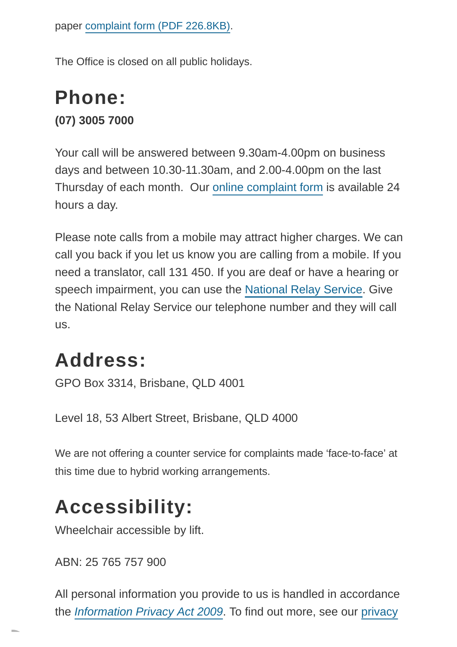paper [complaint form \(PDF](https://www.ombudsman.qld.gov.au/ArticleDocuments/277/QO_Printable_Complaint_Form.pdf.aspx) 226.8KB).

The Office is closed on all public holidays.

#### **Phone: (07) 3005 7000**

Your call will be answered between 9.30am-4.00pm on business days and between 10.30-11.30am, and 2.00-4.00pm on the last Thursday of each month. Our [online complaint form](https://www.ombudsman.qld.gov.au/make-a-complaint/makecomplaint) is available 24 hours a day.

Please note calls from a mobile may attract higher charges. We can call you back if you let us know you are calling from a mobile. If you need a translator, call 131 450. If you are deaf or have a hearing or speech impairment, you can use the [National Relay Service.](https://internet-relay.nrscall.gov.au/) Give the National Relay Service our telephone number and they will call us.

## **Address:**

GPO Box 3314, Brisbane, QLD 4001

Level 18, 53 Albert Street, Brisbane, QLD 4000

We are not offering a counter service for complaints made 'face-to-face' at this time due to hybrid working arrangements.

## **Accessibility:**

Wheelchair accessible by lift.

ABN: 25 765 757 900

All personal information you provide to us is handled in accordance the [Information Privacy Act 2009](https://www.legislation.qld.gov.au/legisltn/current/i/infopriva09.pdf). To find out more, see our [privacy](https://www.ombudsman.qld.gov.au/About-us/Privacy/Privacy-Plan/privacy-plan)